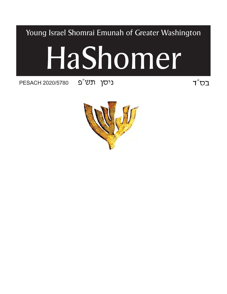Young Israel Shomrai Emunah of Greater Washington

# ניסן תש"פ 020/5780<br>cod על ה

PESACH 2020/5780



 $T''$ בס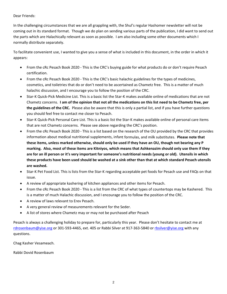## Dear Friends:

In the challenging circumstances that we are all grappling with, the Shul's regular Hashomer newsletter will not be coming out in its standard format. Though we do plan on sending various parts of the publication, I did want to send out the parts which are Halachically relevant as soon as possible. I am also including some other documents which I normally distribute separately.

To facilitate convenient use, I wanted to give you a sense of what is included in this document, in the order in which it appears:

- From the cRc Pesach Book 2020 ‐ This is the CRC's buying guide for what products do or don't require Pesach certification.
- From the cRc Pesach Book 2020 ‐ This is the CRC's basic halachic guidelines for the types of medicines, cosmetics, and toiletries that do or don't need to be ascertained as Chametz free. This is a matter of much halachic discussion, and I encourage you to follow the position of the CRC.
- Star‐K Quick‐Pick Medicine List. This is a basic list the Star‐K makes available online of medications that are not Chametz concerns. I am of the opinion that not all the medications on this list need to be Chametz free, per **the guidelines of the CRC.** Please also be aware that this is only a partial list, and if you have further questions you should feel free to contact me closer to Pesach.
- Star‐K Quick‐Pick Personal Care List. This is a basic list the Star‐K makes available online of personal care items that are not Chametz concerns. Please see above regarding the CRC's position.
- From the cRc Pesach Book 2020 ‐ This is a list based on the research of the OU provided by the CRC that provides information about medical nutritional supplements, infant formulas, and milk substitutes. **Please note that** these items, unless marked otherwise, should only be used if they have an OU, though not bearing any P marking. Also, most of these items are Kitniyos, which means that Ashkenazim should only use them if they are for an ill person or it's very important for someone's nutritional needs (young or old). Utensils in which these products have been used should be washed at a sink other than that at which standard Pesach utensils **are washed.**
- Star‐K Pet Food List. This is lists from the Star‐K regarding acceptable pet foods for Pesach use and FAQs on that issue.
- A review of appropriate kashering of kitchen appliances and other items for Pesach.
- From the cRc Pesach Book 2020 ‐ This is a list from the CRC of what types of countertops may be Kashered. This is a matter of much Halachic discussion, and I encourage you to follow the position of the CRC.
- A review of laws relevant to Erev Pesach.
- A very general review of measurements relevant for the Seder.
- A list of stores where Chametz may or may not be purchased after Pesach

Pesach is always a challenging holiday to prepare for, particularly this year. Please don't hesitate to contact me at rdrosenbaum@yise.org or 301‐593‐4465, ext. 405 or Rabbi Silver at 917‐363‐5840 or rbsilver@yise.org with any questions.

Chag Kasher Vesameach.

Rabbi Dovid Rosenbaum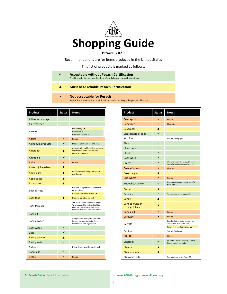

Recommendations are for items produced in the United States

This list of products is marked as follows:

| <b>Acceptable without Pesach Certification</b><br>Food items in this section should preferably be purchased before Pesach |
|---------------------------------------------------------------------------------------------------------------------------|
| <b>Must bear reliable Pesach Certification</b>                                                                            |
| <b>Not acceptable for Pesach</b><br>Sephardim should contact their local Sephardic rabbi regarding issues of kitnios      |
|                                                                                                                           |

| Product                          | <b>Status</b> | <b>Notes</b>                                                                                                                                                                        |
|----------------------------------|---------------|-------------------------------------------------------------------------------------------------------------------------------------------------------------------------------------|
| <b>Adhesive bandages</b>         | ✓             |                                                                                                                                                                                     |
| Air freshener                    | $\checkmark$  |                                                                                                                                                                                     |
| Alcohol                          |               | For drinking $\triangle$<br>Denatured √<br>Isopropyl alcohol √                                                                                                                      |
| Alfalfa                          | $\mathbf x$   | <b>Kitnios</b>                                                                                                                                                                      |
| Aluminum products                | ✓             | Includes aluminum foil and pans                                                                                                                                                     |
| Amaranth                         |               | Amaranth is not kitnios but requires<br>certification to be sure no other<br>grains are mixed in                                                                                    |
| Ammonia                          | ✓             |                                                                                                                                                                                     |
| Anise                            | ×             | <b>Kitnios</b>                                                                                                                                                                      |
| Antacid (chewable)               |               |                                                                                                                                                                                     |
| Apple juice                      |               | Concentrate also requires Pesach<br>certification                                                                                                                                   |
| Apple sauce                      | A             |                                                                                                                                                                                     |
| Aspartame                        | A             |                                                                                                                                                                                     |
| Baby carrots                     |               | Raw are acceptable if they contain<br>no additives                                                                                                                                  |
|                                  | A             | Canned, cooked or frozen ▲                                                                                                                                                          |
| <b>Baby food</b><br>Baby formula |               | Includes jarred or canned<br>See nutritional supplement pages<br>When acceptable, bottles should be<br>filled and cleaned separately from<br>Pesach dishes since formula is kitnios |
| Baby oil                         | $\checkmark$  |                                                                                                                                                                                     |
| Baby powder                      |               | Acceptable if it only contains talc,<br>talcum powder, corn starch, or<br>other innocuous ingredients                                                                               |
| <b>Baby wipes</b>                |               |                                                                                                                                                                                     |
| <b>Bags</b>                      | ✓             |                                                                                                                                                                                     |
| <b>Baking powder</b>             | A             |                                                                                                                                                                                     |
| <b>Baking soda</b>               | ✓             |                                                                                                                                                                                     |
| <b>Balloons</b>                  |               | If powdered, wash before Pesach                                                                                                                                                     |
| <b>Band-aids</b>                 |               |                                                                                                                                                                                     |
| <b>Beans</b>                     | ×             | <b>Kitnios</b>                                                                                                                                                                      |

| Product                               | <b>Status</b> | <b>Notes</b>                                                                                  |
|---------------------------------------|---------------|-----------------------------------------------------------------------------------------------|
| <b>Bean sprouts</b>                   | $\mathbf x$   | <b>Kitnios</b>                                                                                |
| <b>Benefiber</b>                      | $\mathbf{x}$  | Chametz                                                                                       |
| <b>Beverages</b>                      | A             |                                                                                               |
| Bicarbonate of soda                   | ✓             |                                                                                               |
| <b>Bird food</b>                      |               | See pet food pages                                                                            |
| Bleach                                | ✓             |                                                                                               |
| <b>Bleach wipes</b>                   | ✓             |                                                                                               |
| <b>Blush</b>                          | ✓             |                                                                                               |
| Body wash                             | ✓             |                                                                                               |
| <b>Braces</b>                         | ✓             | Wax for braces is also acceptable; wash<br>rubber bands before placing in mouth               |
| Brewer's yeast                        | $\mathbf x$   | Chametz                                                                                       |
| <b>Brown sugar</b>                    | A             |                                                                                               |
| <b>Buckwheat</b>                      | ×             | <b>Kitnios</b>                                                                                |
| <b>Buckwheat pillow</b>               | ✓             | One may own and derive benefit<br>from kitnios                                                |
| <b>Butter</b>                         | A             |                                                                                               |
| Candles                               | ✓             | Scented are also acceptable                                                                   |
| Candy                                 | A             |                                                                                               |
| <b>Canned fruits or</b><br>vegetables |               |                                                                                               |
| Canola oil                            | $\mathbf{x}$  | Kitnios                                                                                       |
| Caraway                               | $\mathbf x$   | <b>Kitnios</b>                                                                                |
| Carrots                               |               | Raw (including baby carrots) are<br>acceptable if additive-free<br>Canned, cooked or frozen ▲ |
| Cat food                              |               | See pet food pages                                                                            |
| <b>CBD Oil</b>                        | $\mathbf x$   | <b>Kitnios</b>                                                                                |
| Charcoal                              | ✓             | Includes "plain", easy-light, apple,<br>hickory, and mesquite                                 |
| Cheese                                | A             |                                                                                               |
| Cheese spreads                        | A             |                                                                                               |
| Chewable pills                        |               | See medicine letter (page 3)                                                                  |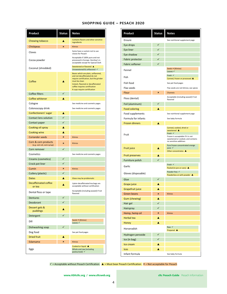| <b>SHOPPING GUIDE - PESACH 2020</b> |  |  |
|-------------------------------------|--|--|
|-------------------------------------|--|--|

| Product                               | Status       | <b>Notes</b>                                                                                                                                                                                                                         |
|---------------------------------------|--------------|--------------------------------------------------------------------------------------------------------------------------------------------------------------------------------------------------------------------------------------|
| Chewing tobacco                       |              | Contains flavors and other sensitive<br>ingredients                                                                                                                                                                                  |
| Chickpeas                             | ×            | <b>Kitnios</b>                                                                                                                                                                                                                       |
| Cloves                                |              | Some have a custom not to use<br>cloves for Pesach                                                                                                                                                                                   |
| Cocoa powder                          |              | Acceptable if 100% pure and not<br>processed in Europe. Hershey's is<br>acceptable except for Special Dark                                                                                                                           |
| Coconut (shredded)                    |              | Sweetened or flavored ▲<br>Unsweetened & unflavored √                                                                                                                                                                                |
| Coffee                                |              | Beans which are plain, unflavored,<br>and not decaffeinated do not<br>require certification, but the grinder<br>must be clean<br>Instant, flavored or decaffeinated<br>coffee requires certification<br>K-cups require certification |
| Coffee filters                        | ✓            |                                                                                                                                                                                                                                      |
| Coffee whitener                       | A            |                                                                                                                                                                                                                                      |
| Cologne                               |              | See medicine and cosmetic pages                                                                                                                                                                                                      |
| Colonoscopy drink                     |              | See medicine and cosmetic pages                                                                                                                                                                                                      |
| Confectioners' sugar                  | A            |                                                                                                                                                                                                                                      |
| Contact lens solution                 | $\checkmark$ |                                                                                                                                                                                                                                      |
| Contact paper                         | ✓            |                                                                                                                                                                                                                                      |
| Cooking oil spray                     | ٨            |                                                                                                                                                                                                                                      |
| Cooking wine                          | A            |                                                                                                                                                                                                                                      |
| <b>Coriander seeds</b>                | ×            | <b>Kitnios</b>                                                                                                                                                                                                                       |
| Corn & corn products                  |              |                                                                                                                                                                                                                                      |
| (e.g. corn oil, corn syrup)           | ×            | <b>Kitnios</b>                                                                                                                                                                                                                       |
| Corn remover                          | ✓            |                                                                                                                                                                                                                                      |
| Cosmetics                             |              | See medicine and cosmetic pages                                                                                                                                                                                                      |
| Creams (cosmetics)                    | ✓            |                                                                                                                                                                                                                                      |
| Crock pot liner                       | ✓            |                                                                                                                                                                                                                                      |
| Cumin                                 | ×            | <b>Kitnios</b>                                                                                                                                                                                                                       |
| Cutlery (plastic)                     | ✓            |                                                                                                                                                                                                                                      |
| Dates                                 | A            | Glaze may be problematic                                                                                                                                                                                                             |
| <b>Decaffeinated coffee</b><br>or tea | A            | Lipton decaffeinated tea bags are<br>acceptable without certification                                                                                                                                                                |
| Dental floss or tape                  |              | Acceptable (including waxed) if not<br>flavored                                                                                                                                                                                      |
| <b>Dentures</b>                       | ✓            |                                                                                                                                                                                                                                      |
| Deodorant                             |              |                                                                                                                                                                                                                                      |
| Dessert gels &<br>puddings            |              |                                                                                                                                                                                                                                      |
| Detergent                             | ✓            |                                                                                                                                                                                                                                      |
| Dill                                  |              | Seeds <b>*</b> (Kitnios)<br>Leaves $\checkmark$                                                                                                                                                                                      |
| Dishwashing soap                      | ✓            |                                                                                                                                                                                                                                      |
| Dog food                              |              | See pet food pages                                                                                                                                                                                                                   |
| <b>Dried fruit</b>                    |              |                                                                                                                                                                                                                                      |
| Edamame                               | ×            | <b>Kitnios</b>                                                                                                                                                                                                                       |
| Eggs                                  |              | Cooked or liquid ▲<br>Whole and raw (including<br>pasteurized) √                                                                                                                                                                     |

| Product                | Status       | <b>Notes</b>                                                                                                                                                  |
|------------------------|--------------|---------------------------------------------------------------------------------------------------------------------------------------------------------------|
| Ensure                 |              | See nutritional supplement page                                                                                                                               |
| Eye drops              | $\checkmark$ |                                                                                                                                                               |
| Eye liner              | ✓            |                                                                                                                                                               |
| Eye shadow             | ✓            |                                                                                                                                                               |
| Fabric protector       | ✓            |                                                                                                                                                               |
| <b>Fabric softener</b> | ✓            |                                                                                                                                                               |
| Fennel                 |              | Seeds <b>*</b> (Kitnios)<br>Leaves $\checkmark$                                                                                                               |
| Fish                   |              | Fresh V<br>Canned, frozen or processed ▲                                                                                                                      |
| Fish food              |              | See pet food pages                                                                                                                                            |
| Flax seeds             |              | Flax seeds are not kitnios; see spices                                                                                                                        |
| Flour                  | ×            | Chametz                                                                                                                                                       |
| Floss (dental)         |              | Acceptable (including waxed) if not<br>flavored                                                                                                               |
| Foil (aluminum)        | ✓            |                                                                                                                                                               |
| <b>Food coloring</b>   | A            |                                                                                                                                                               |
| Food supplements       |              | See nutritional supplement page                                                                                                                               |
| Formula for infants    |              | See baby formula                                                                                                                                              |
| <b>Frozen dinners</b>  | A            |                                                                                                                                                               |
| Fruit                  |              | Canned, cooked, dried or<br>sweetened <b>A</b><br>Fresh V<br>Frozen is acceptable if it is not<br>sweetened or cooked, and contains<br>no sensitive additives |
| Fruit juice            |              | Pure frozen concentrated orange<br>juice $\checkmark$<br>Other concentrates A                                                                                 |
| <b>Fruit preserves</b> | A            |                                                                                                                                                               |
| Furniture polish       | $\checkmark$ |                                                                                                                                                               |
| Garlic                 |              | Fresh $\checkmark$<br>Peeled (in jars or cans) $\triangle$                                                                                                    |
| Gloves (disposable)    |              | Powder free √<br>Powderless or with powder ▲                                                                                                                  |
| Glue                   | ✓            |                                                                                                                                                               |
| Grape juice            | A            |                                                                                                                                                               |
| Grapefruit juice       | A            |                                                                                                                                                               |
| Green beans            | ×            | Kitnios                                                                                                                                                       |
| Gum (chewing)          | ▲            |                                                                                                                                                               |
| Hair gel               | $\checkmark$ |                                                                                                                                                               |
| Hairspray              | $\checkmark$ |                                                                                                                                                               |
| Hemp, hemp oil         | ×            | Kitnios                                                                                                                                                       |
| <b>Herbal tea</b>      | A            |                                                                                                                                                               |
| Honey                  | ▲            |                                                                                                                                                               |
| Horseradish            |              | Raw √<br>Prepared A                                                                                                                                           |
| Hydrogen peroxide      | $\checkmark$ |                                                                                                                                                               |
| Ice (in bag)           | $\checkmark$ |                                                                                                                                                               |
| Ice cream              | ▲            |                                                                                                                                                               |
| <b>Ices</b>            | ▲            |                                                                                                                                                               |
| Infant formula         |              | See baby formula                                                                                                                                              |

 $\checkmark$  = Acceptable without Pesach Certification  $\blacktriangle$  = Must bear Pesach Certification  $\blacktriangleright$  = Not acceptable for Pesach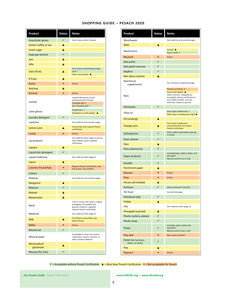| Product                     | <b>Status</b> | <b>Notes</b>                                                                                                                        |
|-----------------------------|---------------|-------------------------------------------------------------------------------------------------------------------------------------|
| Insecticide sprays          | ✓             | Some traps contain chametz                                                                                                          |
| Instant coffee or tea       | A             |                                                                                                                                     |
| <b>Invert sugar</b>         | A             |                                                                                                                                     |
| Isopropyl alcohol           | $\checkmark$  |                                                                                                                                     |
| Jam                         | A             |                                                                                                                                     |
| Jelly                       | A             |                                                                                                                                     |
| Juice (fruit)               |               | Pure frozen concentrated orange<br>juice √<br>Other concentrates $\triangle$                                                        |
| <b>K-Cups</b>               | A             |                                                                                                                                     |
| Kasha                       | $\mathbf x$   | <b>Kitnios</b>                                                                                                                      |
| Ketchup                     | A             |                                                                                                                                     |
| Kimmel                      | ×             | <b>Kitnios</b>                                                                                                                      |
| Lactaid                     |               | Lactaid milk may be used if<br>purchased before Pesach<br>Chewable pills x<br>Non-chewable pills √                                  |
| Latex gloves                |               | Powder free √<br>Powderless or with powder ▲                                                                                        |
| Laundry detergent           |               |                                                                                                                                     |
| Laxatives                   |               | See medicine and cosmetic pages                                                                                                     |
| Lemon juice                 |               | Concentrate also requires Pesach<br>certification                                                                                   |
| Lentils                     | ×             | <b>Kitnios</b>                                                                                                                      |
| Lip products                |               | See medicine letter (page 3) and see<br>www.ASKcRc.org for updated<br>information                                                   |
| Liqueur                     | A             |                                                                                                                                     |
| Liquid dish detergent       | ✓             |                                                                                                                                     |
| Liquid medicines            |               | See medicine letter (page 3)                                                                                                        |
| Liquor                      |               |                                                                                                                                     |
| <b>Listerine PocketPaks</b> | ×             | Requires Pesach certification, and<br>this brand is not certified                                                                   |
| Lotions                     | ✓             |                                                                                                                                     |
| Makeup                      |               | See medicine and cosmetic pages                                                                                                     |
| <b>Margarine</b>            |               |                                                                                                                                     |
| Mascara                     |               |                                                                                                                                     |
| Matzah                      |               |                                                                                                                                     |
| Mayonnaise                  | A             |                                                                                                                                     |
| Meat                        |               | Fresh or frozen raw meat in original<br>packaging is acceptable, but<br>ground, cooked or repacked<br>requires Pesach certification |
| Medicine                    |               | See medicine letter (page 3)                                                                                                        |
| Milk                        |               | If certified is unavailable, buy<br>before Pesach                                                                                   |
| <b>Millet</b>               | $\mathbf x$   | <b>Kitnios</b>                                                                                                                      |
| Mineral oil                 | $\checkmark$  |                                                                                                                                     |
| Mineral water               |               | Acceptable if it does not contain<br>carbonation, flavors, vitamins, or<br>other sensitive additives                                |
| Monosodium<br>glutamate     |               |                                                                                                                                     |
| Mousse (for hair)           | $\checkmark$  |                                                                                                                                     |

| <b>SHOPPING GUIDE – PESACH 2020</b> |  |  |  |  |  |
|-------------------------------------|--|--|--|--|--|
|-------------------------------------|--|--|--|--|--|

| Product                                     | <b>Status</b> | <b>Notes</b>                                                                                                                         |
|---------------------------------------------|---------------|--------------------------------------------------------------------------------------------------------------------------------------|
| Mouthwash                                   |               | See medicine and cosmetic pages                                                                                                      |
| <b>MSG</b>                                  |               |                                                                                                                                      |
| Mushrooms                                   |               | Canned $\triangle$<br>Raw or dried √                                                                                                 |
| <b>Mustard</b>                              | ×             | <b>Kitnios</b>                                                                                                                       |
| Nail polish                                 | ✓             |                                                                                                                                      |
| Nail polish remover                         | ✓             |                                                                                                                                      |
| <b>Napkins</b>                              | ✓             |                                                                                                                                      |
| Non-dairy creamer                           | A             |                                                                                                                                      |
| Nutritional<br>supplements                  |               | See nutritional supplement page                                                                                                      |
|                                             |               | Peanuts are kitnios *<br>Pecans (all shelled) ▲                                                                                      |
| Nuts                                        |               | Other nuts (incl. chopped) are<br>acceptable without certification if<br>free of BHA and BHT, and not<br>blanched, roasted or ground |
| <b>Ointments</b>                            |               |                                                                                                                                      |
| Olive oil                                   |               | Extra virgin (unflavored) √<br>Other types, including extra light ▲                                                                  |
| Oil (cooking)                               | A             |                                                                                                                                      |
| Orange juice                                | A             | Pure frozen orange juice<br>concentrate does not require<br><b>Pesach certification</b>                                              |
| <b>Orthodontics</b>                         | $\checkmark$  | Wash rubber bands before placing<br>in mouth                                                                                         |
| Oven cleaner                                | ✓             |                                                                                                                                      |
| Pam                                         | A             |                                                                                                                                      |
| Pans (aluminum)                             | ✓             |                                                                                                                                      |
| Paper products                              | ✓             | Including bags, napkins, plates, and<br>wax paper<br>May be used for hot or cold                                                     |
| Paraffin                                    | ✓             |                                                                                                                                      |
| Parchment paper                             | A             |                                                                                                                                      |
| Peanuts                                     | ×             | <b>Kitnios</b>                                                                                                                       |
| Peas                                        | ×             | <b>Kitnios</b>                                                                                                                       |
| Pecans (all shelled)                        | A             |                                                                                                                                      |
| Perfume                                     | ✓             | When produced in the USA                                                                                                             |
| Pet food                                    |               | See pet food pages                                                                                                                   |
| Petroleum jelly                             | ✓             |                                                                                                                                      |
| <b>Pickles</b>                              | A             |                                                                                                                                      |
| Pills                                       |               | See medicine letter (page 3)                                                                                                         |
| Pineapple (canned)                          | A             |                                                                                                                                      |
| Plastic (cutlery, plates)                   | $\checkmark$  |                                                                                                                                      |
| Plastic wrap                                | ✓             |                                                                                                                                      |
| Plates                                      | ✓             | Including paper, plastic and<br>Styrofoam<br>May be used for hot or cold                                                             |
| Play-doh                                    | ×             | May contain chametz                                                                                                                  |
| Polish (for furniture,<br>shoes, or silver) | ✓             |                                                                                                                                      |
| Pop                                         | A             |                                                                                                                                      |
| Popcorn                                     | ×             | Kitnios                                                                                                                              |

 $\checkmark$  = Acceptable without Pesach Certification  $\Delta$  = Must bear Pesach Certification  $\checkmark$  = Not acceptable for Pesach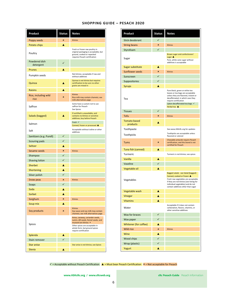| <b>SHOPPING GUIDE - PESACH 2020</b> |  |  |
|-------------------------------------|--|--|
|-------------------------------------|--|--|

| Product                      | Status | <b>Notes</b>                                                                                                                                                                                  |
|------------------------------|--------|-----------------------------------------------------------------------------------------------------------------------------------------------------------------------------------------------|
| Poppy seeds                  | ×      | <b>Kitnios</b>                                                                                                                                                                                |
| Potato chips                 | A      |                                                                                                                                                                                               |
| Poultry                      |        | Fresh or frozen raw poultry in<br>original packaging is acceptable, but<br>ground, cooked or repacked<br>requires Pesach certification                                                        |
| Powdered dish<br>detergent   |        |                                                                                                                                                                                               |
| Prunes                       | A      |                                                                                                                                                                                               |
| Pumpkin seeds                |        | Not kitnios; acceptable if raw and<br>without additives                                                                                                                                       |
| Quinoa                       | A      | Quinoa is not kitnios but requires<br>certification to be sure no other<br>grains are mixed in                                                                                                |
| <b>Raisins</b>               | A      |                                                                                                                                                                                               |
| Rice, including wild<br>rice | ×      | Kitnios<br>Rice milk may contain chametz; see<br>milk alternatives page                                                                                                                       |
| Saffron                      |        | Some have a custom not to use<br>saffron for Pesach<br>See Spices                                                                                                                             |
| Salads (bagged)              |        | If certified is unavailable, and<br>contains no kitnios or sensitive<br>additives; buy before Pesach                                                                                          |
| Salmon                       |        | Fresh V<br>Canned, frozen or processed ▲                                                                                                                                                      |
| Salt                         |        | Acceptable without iodine or other<br>additives                                                                                                                                               |
| Sanitizers (e.g. Purell)     | ✓      |                                                                                                                                                                                               |
| Scouring pads                | ✓      |                                                                                                                                                                                               |
| Seltzer                      | A      |                                                                                                                                                                                               |
| Sesame seeds                 | ×      | Kitnios                                                                                                                                                                                       |
| Shampoo                      | ✓      |                                                                                                                                                                                               |
| Shaving lotion               | ✓      |                                                                                                                                                                                               |
| Sherbet                      | A      |                                                                                                                                                                                               |
| Shortening                   | A      |                                                                                                                                                                                               |
| Silver polish                | ✓      |                                                                                                                                                                                               |
| Snow peas                    | ×      | <b>Kitnios</b>                                                                                                                                                                                |
| Soaps                        | ✓      |                                                                                                                                                                                               |
| Soda                         | Δ      |                                                                                                                                                                                               |
| Sorbet                       |        |                                                                                                                                                                                               |
| Sorghum                      | ×      | Kitnios                                                                                                                                                                                       |
| Soup mix                     | A      |                                                                                                                                                                                               |
| Soy products                 | ×      | Kitnios<br>Soy sauce and soy milk may contain<br>chametz; see milk alternatives page                                                                                                          |
| Spices                       |        | Anise, caraway, coriander seeds,<br>cumin, dill seeds, fennel seeds, and<br>mustard are kitnios *<br>Other spices are acceptable in<br>whole form, but ground spices<br>require certification |
| Splenda                      | A      |                                                                                                                                                                                               |
| Stain remover                | ✓      |                                                                                                                                                                                               |
| Star anise                   |        | Star anise is not kitnios; see Spices                                                                                                                                                         |
| <b>Stevia</b>                | A      |                                                                                                                                                                                               |

| Product                  | <b>Status</b> | <b>Notes</b>                                                                                                                                                                                                                   |
|--------------------------|---------------|--------------------------------------------------------------------------------------------------------------------------------------------------------------------------------------------------------------------------------|
| <b>Stick deodorant</b>   | $\checkmark$  |                                                                                                                                                                                                                                |
| <b>String beans</b>      | $\mathbf{x}$  | <b>Kitnios</b>                                                                                                                                                                                                                 |
| Styrofoam                | $\checkmark$  |                                                                                                                                                                                                                                |
| Sugar                    |               | Brown sugar and confectioners'<br>sugar $\triangle$<br>Pure, white cane sugar without<br>additives is acceptable                                                                                                               |
| Sugar substitute         | A             |                                                                                                                                                                                                                                |
| <b>Sunflower seeds</b>   | $\mathbf{x}$  | <b>Kitnios</b>                                                                                                                                                                                                                 |
| Sunscreen                | $\checkmark$  |                                                                                                                                                                                                                                |
| Suppositories            | $\checkmark$  |                                                                                                                                                                                                                                |
| <b>Syrups</b>            | A             |                                                                                                                                                                                                                                |
| Tea                      |               | Pure black, green or white tea<br>leaves or tea bags are acceptable<br>unless they are flavored, instant or<br>decaffeinated, in which case they<br>require certification<br>Lipton decaffeinated tea bags √<br>Herbal tea A   |
| <b>Tissues</b>           | ✓             |                                                                                                                                                                                                                                |
| Tofu                     | ×             | <b>Kitnios</b>                                                                                                                                                                                                                 |
| Tomato-based<br>products | A             |                                                                                                                                                                                                                                |
| Toothpaste               |               | See www.ASKcRc.org for updates                                                                                                                                                                                                 |
| Toothpicks               |               | Toothpicks are acceptable unless<br>flavored or colored                                                                                                                                                                        |
| <b>Tums</b>              | ×             | Chewable antacids require Pesach<br>certification, and this brand is not<br>certified for Pesach                                                                                                                               |
| Tuna fish (canned)       | A             |                                                                                                                                                                                                                                |
| Turmeric                 |               | Turmeric is not kitnios; see spices                                                                                                                                                                                            |
| Vanilla                  | A             |                                                                                                                                                                                                                                |
| Vaseline                 | ✓             |                                                                                                                                                                                                                                |
| Vegetable oil            | A             |                                                                                                                                                                                                                                |
| Vegetables               |               | Bagged salads - see Salad (bagged)<br>Canned, cooked or frozen ▲<br>Fresh raw vegetables are acceptable<br>if they are not kitnios (see listing for<br>individual vegetables) and do not<br>contain additives other than sugar |
| Vegetable wash           | A             |                                                                                                                                                                                                                                |
| Vinegar                  | A             |                                                                                                                                                                                                                                |
| <b>Vitamins</b>          | A             |                                                                                                                                                                                                                                |
| Water                    |               | Acceptable if it does not contain<br>carbonation, flavors, vitamins, or<br>other sensitive additives                                                                                                                           |
| Wax for braces           | ✓             |                                                                                                                                                                                                                                |
| Wax paper                | ✓             |                                                                                                                                                                                                                                |
| Whitener (for coffee)    | A             |                                                                                                                                                                                                                                |
| <b>Wild rice</b>         | ×             | Kitnios                                                                                                                                                                                                                        |
| Wine                     | A             |                                                                                                                                                                                                                                |
| Wood chips               | $\checkmark$  |                                                                                                                                                                                                                                |
| Wrap (plastic)           | $\checkmark$  |                                                                                                                                                                                                                                |
| Yogurt                   | A             |                                                                                                                                                                                                                                |

 $\checkmark$  = Acceptable without Pesach Certification  $\Delta$  = Must bear Pesach Certification  $\checkmark$  = Not acceptable for Pesach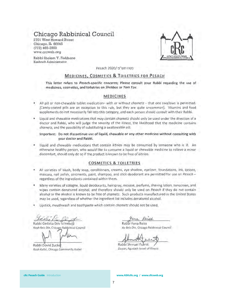## Chicago Rabbinical Council

2701 West Howard Street Chicago, IL 60645  $(773)$  465-3900 www.crcweb.org

Rabbi Sholem Y. Fishbane Kashruth Administrator



פסח תש"פ /Pesach 2020

## MEDICINES, COSMETICS & TOILETRIES FOR PESACH

This letter refers to Pesach-specific concerns; Please consult your Rabbi regarding the use of medicines, cosmetics, and toiletries on Shabbos or Yom Tov.

## **MEDICINES**

- All pill or non-chewable tablet medication- with or without chametz that one swallows is permitted. [Candy-coated pills are an exception to this rule, but they are quite uncommon]. Vitamins and food supplements do not necessarily fall into this category, and each person should consult with their Rabbi.
- Liquid and chewable medications that may contain chametz should only be used under the direction of a doctor and Rabbi, who will judge the severity of the illness, the likelihood that the medicine contains chametz, and the possibility of substituting a swallowable pill.

#### Important: Do not discontinue use of liquid, chewable or any other medicine without consulting with vour doctor and Rabbi.

Liquid and chewable medications that contain kitnios may be consumed by someone who is ill. An otherwise healthy person, who would like to consume a liquid or chewable medicine to relieve a minor discomfort, should only do so if the product is known to be free of kitnios.

#### **COSMETICS & TOILETRIES**

- All varieties of blush, body soap, conditioners, creams, eye shadow, eyeliner, foundations, ink, lotions, mascara, nail polish, ointments, paint, shampoo, and stick deodorant are permitted for use on Pesach regardless of the ingredients contained within them.
- Many varieties of cologne, liquid deodorants, hairspray, mousse, perfume, shaving lotion, sunscreen, and wipes contain denatured alcohol, and therefore should only be used on Pesach if they do not contain alcohol or the alcohol is known to be free of chametz. Such products manufactured in the United States may be used, regardless of whether the ingredient list includes denatured alcohol.
- Lipstick, mouthwash and toothpaste which contain chametz should not be used.

Rabbi Gedalia Dov Schwartz Rosh Beis Din, Chicago Rabbinical Council

Rabbi Dovid Zucke Rosh Kollel, Chicago Community Kollel

Reised  $D\wedge a$ 

Rabbi Yona Reiss Av Beis Din, Chicago Rabbinical Council

Rabbi Shmuel Fuerst Davan, Agudath Israel of Illinois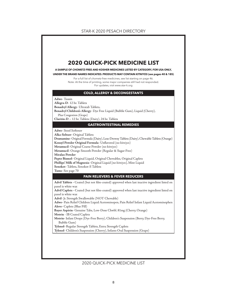## STAR-K 2020 PESACH DIRECTORY



## 2020 QUICK-PICK MEDICINE LIST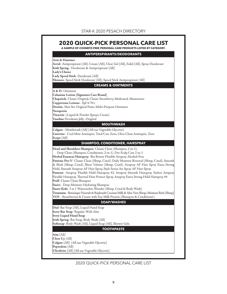

2020 QUICK-PICK PERSONAL CARE LIST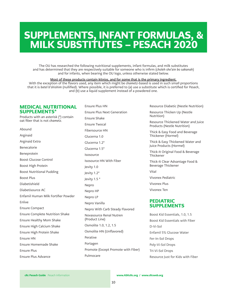# SUPPLEMENTS, INFANT FORMULAS, & MILK SUBSTITUTES – PESACH 2020

The OU has researched the following nutritional supplements, infant formulas, and milk substitutes and has determined that they are respectively suitable for someone who is infirm (choleh she'ain bo sakanah) and for infants, when bearing the OU logo, unless otherwise stated below.

#### Most of these products contain kitnios, and for some that is the primary ingredient.

With the exception of the flavors used, any item which might be chametz-based is used in such small proportions that it is batel b'shishim (nullified). Where possible, it is preferred to (a) use a substitute which is certified for Pesach, and (b) use a liquid supplement instead of a powdered one.

## MEDICAL NUTRITIONAL SUPPLEMENTS\*

Products with an asterisk (\*) contain oat fiber that is not chametz.

Abound Arginaid Arginaid Extra Benecalorie Beneprotein Boost Glucose Control Boost High Protein Boost Nutritional Pudding Boost Plus Diabetishield Diabetisource AC Enfamil Human Milk Fortifier Powder Enlive Ensure Compact Ensure Complete Nutrition Shake Ensure Healthy Mom Shake Ensure High Calcium Shake Ensure High Protein Shake Ensure HN Ensure Homemade Shake Ensure Plus Ensure Plus Advance

Ensure Plus HN Ensure Plus Next Generation Ensure Shake Ensure Twocal Fibersource HN Glucerna 1.0 Glucerna 1.2\* Glucerna 1.5\* Isosource Isosource HN With Fiber Jevity 1.0 Jevity 1.2\* Jevity 1.5 \* Nepro Nepro HP Nepro LP Nepro Vanilla Nepro With Carb Steady Flavored Novasource Renal Nutren (Product Line) Osmolite 1.0, 1.2, 1.5 Osmolite HN (Unflavored) Perative Portagen Promote (Except Promote with Fiber) Pulmocare

Resource Diabetic (Nestle Nutrition)

Resource Thicken Up (Nestle Nutrition)

Resource Thickened Water and Juice Products (Nestle Nutrition)

Thick & Easy Food and Beverage Thickener (Hormel)

Thick & Easy Thickened Water and Juice Products (Hormel)

Thick-It Original Food & Beverage Thickener

Thick-It Clear Advantage Food & Beverage Thickener

Vital

Vivonex Pediatric

Vivonex Plus

Vivonex Ten

## PEDIATRIC SUPPLEMENTS

Boost Kid Essentials, 1.0, 1.5 Boost Kid Essentials with Fiber D-Vi-Sol Enfamil 5% Glucose Water Fer-In-Sol Drops Poly-Vi-Sol Drops Tri-Vi-Sol Drops Resource Just for Kids with Fiber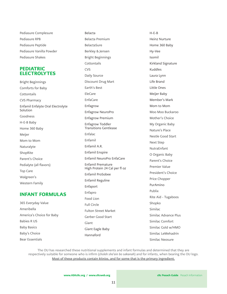Pediasure Complesure Pediasure RPB Pediasure Peptide Pediasure Vanilla Powder Pediasure Shakes

## PEDIATRIC ELECTROLYTES

Bright Beginnings Comforts for Baby **Cottontails** CVS Pharmacy Enfamil Enfalyte Oral Electrolyte Solution Goodness H-E-B Baby Home 360 Baby Meijer Mom to Mom Naturalyte ShopRite Parent's Choice Pedialyte (all flavors) Top Care Walgreen's Western Family

## INFANT FORMULAS

365 Everyday Value Ameribella America's Choice for Baby Babies R US Baby Basics Baby's Choice Bear Essentials

Belacta Belacta Premium BelactaSure Berkley & Jensen Bright Beginnings **Cottontails** CVS Daily Source Discount Drug Mart Earth's Best EleCare EnfaCare Enfagrow Enfagrow NeuroPro Enfagrow Premium Enfagrow Toddler Transitions Gentlease Enfalac Enfamil Enfamil A.R. Enfamil Enspire Enfamil NeuroPro EnfaCare Enfamil Premature High Protein 24 Cal per fl oz Enfamil ProSobee Enfamil Reguline Enfaport Enfapro Food Lion Full Circle Fulton Street Market Gerber Good Start Giant Giant Eagle Baby Hannaford

H-E-B Heinz Nurture Home 360 Baby Hy-Vee Isomil Kirkland Signature Kuddles Laura Lynn Life Brand Little Ones Meijer Baby Member's Mark Mom to Mom Moo Moo Buckaroo Mother's Choice My Organic Baby Nature's Place Nestle Good Start Next Step NutraEnfant O Organic Baby Parent's Choice Premier Value President's Choice Price Chopper PurAmino Publix Rite Aid - Tugaboos Shopko Similac Similac Advance Plus Similac Comfort Similac Gold w/HMO Similac LeMehadrin Similac Neosure

The OU has researched these nutritional supplements and infant formulas and determined that they are respectively suitable for someone who is infirm (choleh she'ain bo sakanah) and for infants, when bearing the OU logo. Most of these products contain kitnios, and for some that is the primary ingredient.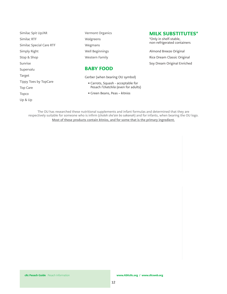Similac Spit Up/AR Similac RTF Similac Special Care RTF Simply Right Stop & Shop Sunrise Supervalu Target Tippy Toes by TopCare Top Care Topco Up & Up

Vermont Organics Walgreens Wegmans Well Beginnings Western Family

## BABY FOOD

Gerber (when bearing OU symbol)

- Carrots, Squash acceptable for Pesach l'chatchila (even for adults)
- Green Beans, Peas kitnios

The OU has researched these nutritional supplements and infant formulas and determined that they are respectively suitable for someone who is infirm (choleh she'ain bo sakanah) and for infants, when bearing the OU logo. Most of these products contain kitnios, and for some that is the primary ingredient.

## MILK SUBSTITUTES\*

\*Only in shelf-stable, non-refrigerated containers

Almond Breeze Original Rice Dream Classic Original Soy Dream Original Enriched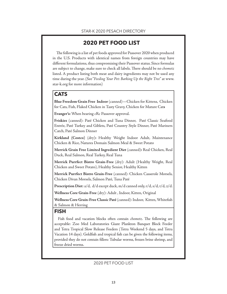# **2020 PET FOOD LIST**

The following is a list of pet foods approved for Passover 2020 when produced in the U.S. Products with identical names from foreign countries may have different formulations, thus compromising their Passover status. Since formulas are subject to change, make sure to check all labels. There should be no chometz listed. A product listing both meat and dairy ingredients may not be used any time during the year. (See "Feeding Your Pet: Barking Up the Right Tree" at www. star-k.org for more information)

## **CATS**

**CATS Blue Freedom Grain Free Indoor** (canned)—Chicken for Kittens, Chicken for Cats, Fish, Flaked Chicken in Tasty Gravy, Chicken for Mature Cat**s**

**Evanger's:** When bearing cRc Passover approval.

**Friskies** (canned): Paté Chicken and Tuna Dinner, Paté Classic Seafood Entrée, Paté Turkey and Giblets, Paté Country Style Dinner, Paté Mariners Catch, Paté Salmon Dinner

**Kirkland (Costco)** (dry)**:** Healthy Weight Indoor Adult, Maintenance Chicken & Rice, Natures Domain Salmon Meal & Sweet Potato

**Merrick Grain Free Limited Ingredient Diet** (canned)**:** Real Chicken, Real Duck, Real Salmon, Real Turkey, Real Tuna

**Merrick Purrfect Bistro Grain-Free** (dry): Adult (Healthy Weight, Real Chicken and Sweet Potato), Healthy Senior, Healthy Kitten

**Merrick Purrfect Bistro Grain-Free** (canned): Chicken Casserole Morsels, Chicken Divan Morsels, Salmon Paté, Tuna Paté

**Prescription Diet**: a/d, d/d except duck, m/d canned only, r/d, s/d, t/d, z/d.

**Wellness Core Grain-Free** (dry): Adult , Indoor, Kitten, Original

**Wellness Core Grain-Free Classic Paté** (canned): Indoor, Kitten, Whitefish & Salmon & Herring

## **FISH**

Fish food and vacation blocks often contain *chometz*. The following are acceptable: Zoo Med Laboratories Giant Plankton Banquet Block Feeder and Tetra Tropical Slow Release Feeders (Tetra Weekend 5 days, and Tetra Vacation 14 days). Goldfish and tropical fish can be given the following items, provided they do not contain fillers: Tubular worms, frozen brine shrimp, and freeze dried worms.

2020 PET FOOD LIST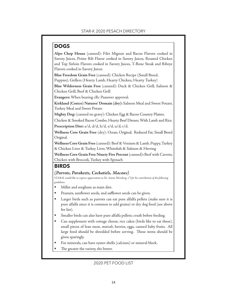**DOGS Alpo Chop House** (canned): Filet Mignon and Bacon Flavors cooked in Savory Juices, Prime Rib Flavor cooked in Savory Juices, Roasted Chicken and Top Sirloin Flavors cooked in Savory Juices, T-Bone Steak and Ribeye Flavors cooked in Savory Juices

**Blue Freedom Grain Free** (canned): Chicken Recipe (Small Breed,

Puppies), Grillers (Hearty Lamb, Hearty Chicken, Hearty Turkey)

**Blue Wilderness Grain Free** (canned): Duck & Chicken Grill, Salmon & Chicken Grill, Beef & Chicken Grill

**Evangers:** When bearing cRc Passover approval.

**Kirkland (Costco) Natures' Domain (dry):** Salmon Meal and Sweet Potato, Turkey Meal and Sweet Potato

**Mighty Dog:** (canned no gravy): Chicken Egg & Bacon Country Platter,

Chicken & Smoked Bacon Combo, Hearty Beef Dinner, With Lamb and Rice. **Prescription Diet:** a/d, d/d, h/d, s/d, u/d, r/d.

**Wellness Core Grain Free** (dry): Ocean, Original, Reduced Fat, Small Breed Original.

**Wellness Core Grain Free** (canned): Beef & Venison & Lamb, Puppy, Turkey & Chicken Liver & Turkey Liver, Whitefish & Salmon & Herring

**Wellness Core Grain Free Ninety Five Percent** (canned)**:** Beef with Carrots, Chicken with Broccoli, Turkey with Spinach

## **BIRDS**

## **BIRDS**  *(Parrots, Parakeets, Cockatiels, Macaws)*

STAR-K would like to express appreciation to Dr. Aaron Weissberg, z"l for his contribution of the following guidelines.

- Millet and sorghum as main diet.
- Peanuts, sunflower seeds, and safflower seeds can be given.
- Larger birds such as parrots can eat pure alfalfa pellets (make sure it is pure alfalfa since it is common to add grains) or dry dog food (see above for list).
- Smaller birds can also have pure alfalfa pellets; crush before feeding.
- Can supplement with cottage cheese, rice cakes (birds like to eat these), small pieces of lean meat, matzah, berries, eggs, canned baby fruits. All large food should be shredded before serving. These items should be given sparingly.
- For minerals, can have oyster shells (calcium) or mineral block.
- The greater the variety, the better.

## 2020 PET FOOD LIST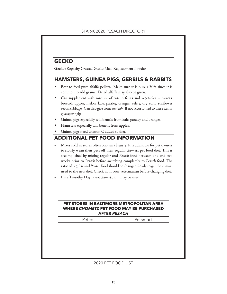## STAR-K 2020 PESACH DIRECTORY

**GECKO Gecko**: Repashy Crested Gecko Meal Replacement Powder

- **HAMSTERS IN PIGS**<br> **H**Best to feed pure alfalfa pellets. Make sure it is pure alfalfa since it is common to add grains. Dried alfalfa may also be given.
- Can supplement with mixture of cut-up fruits and vegetables carrots, broccoli, apples, melon, kale, parsley, oranges, celery, dry corn, sunflower seeds, cabbage. Can also give some matzah. If not accustomed to these items, give sparingly.
- Guinea pigs especially will benefit from kale, parsley and oranges.
- Hamsters especially will benefit from apples.
- Guinea pigs need vitamin C added to diet.

- **ADDITIONAL PET FOOD INFORMATION** Mixes sold in stores often contain chometz. It is advisable for pet owners to slowly wean their pets off their regular chometz pet food diet. This is accomplished by mixing regular and Pesach food between one and two weeks prior to Pesach before switching completely to Pesach food. The ratio of regular and Pesach food should be changed slowly to get the animal used to the new diet. Check with your veterinarian before changing diet.
- Pure Timothy Hay is not *chometz* and may be used.

## **PET STORES IN BALTIMORE METROPOLITAN AREA PET FOOD MAY BE PURCHASED**<br>AFTER PESACH **AFTER** *PESACH*

Petco I Petsmart

## 2020 PET FOOD LIST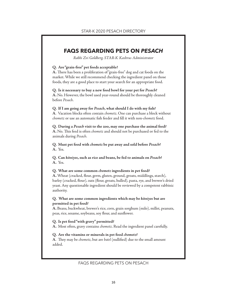## **FAQS REGARDING PETS ON** *PESACH*

Rabbi Zvi Goldberg, STAR-K Kashrus Administrator

## **Q. Are "grain-free" pet foods acceptable?**

**A.** There has been a proliferation of "grain-free" dog and cat foods on the market. While we still recommend checking the ingredient panel on those foods, they are a good place to start your search for an appropriate food.

**Q. Is it necessary to buy a new food bowl for your pet for** *Pesach***? A.** No. However, the bowl used year-round should be thoroughly cleaned before Pesach.

**Q. If I am going away for** *Pesach***, what should I do with my fish? A**. Vacation blocks often contain chometz. One can purchase a block without chometz or use an automatic fish feeder and fill it with non-chometz food.

**Q. During a** *Pesach* **visit to the zoo, may one purchase the animal feed? A.** No. This feed is often chometz and should not be purchased or fed to the animals during Pesach.

**Q. Must pet food with** *chometz* **be put away and sold before** *Pesach***? A.** Yes.

**Q. Can** *kitniyos***, such as rice and beans, be fed to animals on** *Pesach***? A.** Yes.

**Q. What are some common** *chometz* **ingredients in pet food? A.** Wheat (cracked, flour, germ, gluten, ground, groats, middlings, starch), barley (cracked, flour), oats (flour, groats, hulled), pasta, rye, and brewer's dried yeast. Any questionable ingredient should be reviewed by a competent rabbinic authority.

## **Q. What are some common ingredients which may be** *kitniyos* **but are permitted in pet food?**

**A.** Beans, buckwheat, brewer's rice, corn, grain sorghum (milo), millet, peanuts, peas, rice, sesame, soybeans, soy flour, and sunflower.

**Q. Is pet food "with gravy" permitted?**

**A.** Most often, gravy contains chometz. Read the ingredient panel carefully.

## **Q. Are the vitamins or minerals in pet food** *chometz***?**

**A**. They may be chometz, but are batel (nullified) due to the small amount added.

FAQS REGARDING PETS ON PESACH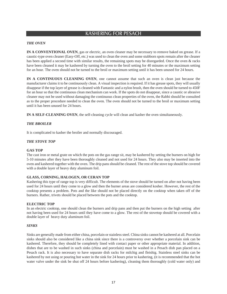# KASHERING FOR PESACH

## *THE OVEN*

**IN A CONVENTIONAL OVEN**, gas or electric, an oven cleaner may be necessary to remove baked on grease. If a caustic-type oven cleaner (Easy-Off, etc.) was used to clean the oven and some stubborn spots remain after the cleaner has been applied a second time with similar results, the remaining spots may be disregarded. Once the oven & racks have been cleaned it may be kashered by turning the oven to the broil setting for 40 minutes or the maximum setting for an hour. The oven should not be turned to the broil or maximum setting until it has been unused for 24 hours.

**IN A CONTINUOUS CLEANING OVEN**, one cannot assume that such an oven is clean just because the manufacturer claims it to be continuously clean. A visual inspection is required. If it has grease spots, they will usually disappear if the top layer of grease is cleaned with Fantastic and a nylon brush, then the oven should be turned to 450F for an hour so that the continuous clean mechanism can work. If the spots do not disappear, since a caustic or abrasive cleaner may not be used without damaging the continuous clean properties of the oven, the Rabbi should be consulted as to the proper procedure needed to clean the oven. The oven should not be turned to the broil or maximum setting until it has been unused for 24 hours.

**IN A SELF-CLEANING OVEN**, the self-cleaning cycle will clean and kasher the oven simultaneously.

## *THE BROILER*

It is complicated to kasher the broiler and normally discouraged.

## *THE STOVE TOP*

#### **GAS TOP**

The cast iron or metal grate on which the pots on the gas range sit, may be kashered by setting the burners on high for 5-10 minutes after they have been thoroughly cleaned and not used for 24 hours. They also may be inserted into the oven and kashered together with the oven. The drip pans should be cleaned. The rest of the stove top should be covered with a double layer of heavy duty aluminum foil.

## **GLASS, CORNING, HALOGEN, OR CERAN TOP**

Kashering this type of range top is very difficult. The elements of the stove should be turned on after not having been used for 24 hours until they come to a glow and then the burner areas are considered kosher. However, the rest of the cooktop presents a problem. Pots and the like should not be placed directly on the cooktop when taken off of the burners. Rather, trivets should be placed between the pots and the cooktop.

## **ELECTRIC TOP**

In an electric cooktop, one should clean the burners and drip pans and then put the burners on the high setting after not having been used for 24 hours until they have come to a glow. The rest of the stovetop should be covered with a double layer of heavy duty aluminum foil.

## *SINKS*

Sinks are generally made from either china, porcelain or stainless steel. China sinks cannot be kashered at all. Porcelain sinks should also be considered like a china sink since there is a controversy over whether a porcelain sink can be kashered. Therefore, they should be completely lined with contact paper or other appropriate material. In addition, dishes that are to be washed in such sinks (china and porcelain) must be washed in a Pesach dish pan placed on a Pesach rack. It is also necessary to have separate dish racks for milchig and fleishig. Stainless steel sinks can be kashered by not using or pouring hot water in the sink for 24 hours prior to kashering, (it is recommended that the hot water valve under the sink be shut off 24 hours before kashering), cleaning them thoroughly (cold water only) and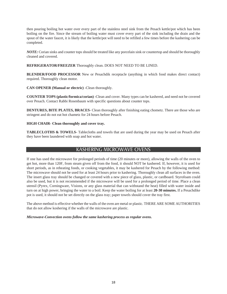then pouring boiling hot water over every part of the stainless steel sink from the Pesach kettle/pot which has been boiling on the fire. Since the stream of boiling water must cover every part of the sink including the drain and the spout of the water faucet, it is likely that the kettle/pot will need to be refilled a few times before the kashering can be completed.

*NOTE:* Corian sinks and counter tops should be treated like any porcelain sink or countertop and should be thoroughly cleaned and covered.

**REFRIGERATOR/FREEZER** Thoroughly clean. DOES NOT NEED TO BE LINED.

**BLENDER/FOOD PROCESSOR** New or Pesachdik receptacle (anything in which food makes direct contact) required. Thoroughly clean motor.

**CAN OPENER (Manual or electric)** -Clean thoroughly.

**COUNTER TOPS (plastic/formica/corian)** -Clean and cover. Many types can be kashered, and need not be covered over Pesach. Contact Rabbi Rosenbaum with specific questions about counter tops.

**DENTURES, BITE PLATES, BRACES**- Clean thoroughly after finishing eating chometz. There are those who are stringent and do not eat hot chametz for 24 hours before Pesach.

## **HIGH CHAIR- Clean thoroughly and cover tray.**

**TABLECLOTHS & TOWELS-** Tablecloths and towels that are used during the year may be used on Pesach after they have been laundered with soap and hot water.

# KASHERING MICROWAVE OVENS

If one has used the microwave for prolonged periods of time (20 minutes or more), allowing the walls of the oven to get hot, more than 120F, from steam given off from the food, it should NOT be kashered. If, however, it is used for short periods, as in reheating foods, or cooking vegetables, it may be kashered for Pesach by the following method: The microwave should not be used for at least 24 hours prior to kashering. Thoroughly clean all surfaces in the oven. The insert glass tray should be changed or covered with a new piece of glass, plastic, or cardboard. Styrofoam could also be used, but it is not recommended if the microwave will be used for a prolonged period of time. Place a clean utensil (Pyrex, Corningware, Visions, or any glass material that can withstand the heat) filled with water inside and turn on at high power, bringing the water to a boil. Keep the water boiling for at least **20-30 minutes.** If a Pesachdike pot is used, it should not be set directly on the glass tray; paper towels should cover the tray first.

The above method is effective whether the walls of the oven are metal or plastic. THERE ARE SOME AUTHORITIES that do not allow koshering if the walls of the microwave are plastic.

*Microwave-Convection ovens follow the same kashering process as regular ovens.*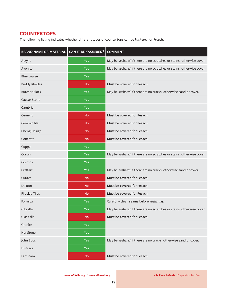## **COUNTERTOPS**

The following listing indicates whether different types of countertops can be kashered for Pesach.

| <b>BRAND NAME OR MATERIAL  </b> | <b>CAN IT BE KASHERED?</b> | <b>COMMENT</b>                                                        |  |  |
|---------------------------------|----------------------------|-----------------------------------------------------------------------|--|--|
| Acrylic                         | <b>Yes</b>                 | May be kashered if there are no scratches or stains; otherwise cover. |  |  |
| Avonite                         | <b>Yes</b>                 | May be kashered if there are no scratches or stains; otherwise cover. |  |  |
| <b>Blue Louise</b>              | Yes                        |                                                                       |  |  |
| <b>Buddy Rhodes</b>             | <b>No</b>                  | Must be covered for Pesach.                                           |  |  |
| <b>Butcher Block</b>            | Yes                        | May be kashered if there are no cracks; otherwise sand or cover.      |  |  |
| <b>Caesar Stone</b>             | <b>Yes</b>                 |                                                                       |  |  |
| Cambria                         | Yes                        |                                                                       |  |  |
| Cement                          | <b>No</b>                  | Must be covered for Pesach.                                           |  |  |
| Ceramic tile                    | <b>No</b>                  | Must be covered for Pesach.                                           |  |  |
| Cheng Design                    | <b>No</b>                  | Must be covered for Pesach.                                           |  |  |
| Concrete                        | <b>No</b>                  | Must be covered for Pesach.                                           |  |  |
| Copper                          | Yes                        |                                                                       |  |  |
| Corian                          | Yes                        | May be kashered if there are no scratches or stains; otherwise cover. |  |  |
| Cosmos                          | <b>Yes</b>                 |                                                                       |  |  |
| Craftart                        | <b>Yes</b>                 | May be kashered if there are no cracks; otherwise sand or cover.      |  |  |
| Curava                          | <b>No</b>                  | Must be covered for Pesach                                            |  |  |
| Dekton                          | <b>No</b>                  | Must be covered for Pesach                                            |  |  |
| <b>Fireclay Tiles</b>           | <b>No</b>                  | Must be covered for Pesach                                            |  |  |
| Formica                         | <b>Yes</b>                 | Carefully clean seams before kashering.                               |  |  |
| Gibraltar                       | Yes                        | May be kashered if there are no scratches or stains; otherwise cover. |  |  |
| Glass tile                      | <b>No</b>                  | Must be covered for Pesach.                                           |  |  |
| Granite                         | <b>Yes</b>                 |                                                                       |  |  |
| HanStone                        | <b>Yes</b>                 |                                                                       |  |  |
| John Boos                       | <b>Yes</b>                 | May be kashered if there are no cracks; otherwise sand or cover.      |  |  |
| Hi-Macs                         | <b>Yes</b>                 |                                                                       |  |  |
| Laminam                         | <b>No</b>                  | Must be covered for Pesach.                                           |  |  |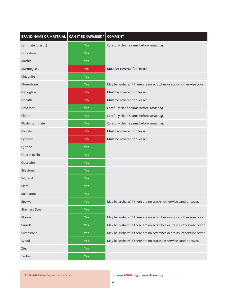| BRAND NAME OR MATERIAL   CAN IT BE KASHERED? |            | <b>COMMENT</b>                                                        |
|----------------------------------------------|------------|-----------------------------------------------------------------------|
| Laminate (plastic)                           | <b>Yes</b> | Carefully clean seams before kashering.                               |
| Limestone                                    | <b>Yes</b> |                                                                       |
| Marble                                       | <b>Yes</b> |                                                                       |
| Marmoglass                                   | <b>No</b>  | Must be covered for Pesach.                                           |
| Meganite                                     | <b>Yes</b> |                                                                       |
| Monestone                                    | <b>Yes</b> | May be kashered if there are no scratches or stains; otherwise cover. |
| Nanoglass                                    | <b>No</b>  | Must be covered for Pesach.                                           |
| Neolith                                      | <b>No</b>  | Must be covered for Pesach.                                           |
| Nevamar                                      | <b>Yes</b> | Carefully clean seams before kashering.                               |
| Pionite                                      | <b>Yes</b> | Carefully clean seams before kashering.                               |
| Plastic Laminate                             | <b>Yes</b> | Carefully clean seams before kashering.                               |
| Porcelain                                    | <b>No</b>  | Must be covered for Pesach.                                           |
| Pyrolave                                     | <b>No</b>  | Must be covered for Pesach.                                           |
| QStone                                       | Yes        |                                                                       |
| Quartz Resin                                 | <b>Yes</b> |                                                                       |
| Quartzite                                    | <b>Yes</b> |                                                                       |
| Silestone                                    | <b>Yes</b> |                                                                       |
| Silgranit                                    | <b>Yes</b> |                                                                       |
| Slate                                        | <b>Yes</b> |                                                                       |
| Soapstone                                    | Yes        |                                                                       |
| Spekva                                       | Yes        | May be kashered if there are no cracks; otherwise sand or cover.      |
| <b>Stainless Steel</b>                       | <b>Yes</b> |                                                                       |
| Staron                                       | <b>Yes</b> | May be kashered if there are no scratches or stains; otherwise cover. |
| Surrell                                      | Yes        | May be kashered if there are no scratches or stains; otherwise cover. |
| Swanstone                                    | Yes        | May be kashered if there are no scratches or stains; otherwise cover. |
| Wood                                         | <b>Yes</b> | May be kashered if there are no cracks; otherwise sand or cover.      |
| Zinc                                         | <b>Yes</b> |                                                                       |
| Zodiaq                                       | Yes        |                                                                       |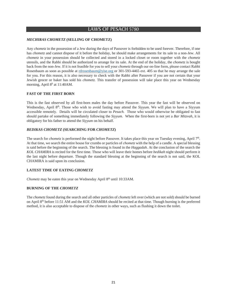## LAWS OF PESACH 5780

## *MECHIRAS CHOMETZ* **(SELLING OF CHOMETZ)**

Any *chometz* in the possession of a Jew during the days of Passover is forbidden to be used forever. Therefore, if one has *chometz* and cannot dispose of it before the holiday, he should make arrangements for its sale to a non-Jew. All *chometz* in your possession should be collected and stored in a locked closet or room together with the *chometz*  utensils, and the Rabbi should be authorized to arrange for its sale. At the end of the holiday, the *chometz* is bought back from the non-Jew. If it is not feasible for you to sell your *chometz* through our on-line form, please contact Rabbi Rosenbaum as soon as possible at rdrosenbaum@yise.org or 301-593-4465 ext. 405 so that he may arrange the sale for you. For this reason, it is also necessary to check with the Rabbi after Passover if you are not certain that your Jewish grocer or baker has sold his *chometz.* This transfer of possession will take place this year on Wednesday morning, April  $8<sup>h</sup>$  at 11:40AM.

## **FAST OF THE FIRST BORN**

This is the fast observed by all first-born males the day before Passover. This year the fast will be observed on Wednesday, April 8<sup>th</sup>. Those who wish to avoid fasting may attend the *Siyyum*. We will plan to have a Siyyum accessible remotely. Details will be circulated closer to *Pesach.* Those who would otherwise be obligated to fast should partake of something immediately following the *Siyyum*. When the first-born is not yet a *Bar Mitzvah*, it is obligatory for his father to attend the *Siyyum* on his behalf.

## *BEDIKAS CHOMETZ* **(SEARCHING FOR** *CHOMETZ***)**

The search for *chometz* is performed the night before Passover. It takes place this year on Tuesday evening, April 7th. At that time, we search the entire house for crumbs or particles of *chometz* with the help of a candle. A special blessing is said before the beginning of the search. The blessing is found in the *Haggadah*. At the conclusion of the search the *KOL CHAMIRA* is recited for the first time. Those who will leave their homes before *bedikah* night should perform it the last night before departure. Though the standard blessing at the beginning of the search is not said, the KOL CHAMIRA is said upon its conclusion.

## **LATEST TIME OF EATING** *CHOMETZ*

*Chometz* may be eaten this year on Wednesday April 8<sup>th</sup> until 10:33AM.

## **BURNING OF THE** *CHOMETZ*

The *chometz* found during the search and all other particles of *chometz* left over (which are not sold) should be burned on April 8th before 11:51 AM and the *KOL CHAMIRA* should be recited at that time. Though burning is the preferred method, it is also acceptable to dispose of the *chometz* in other ways, such as flushing it down the toilet.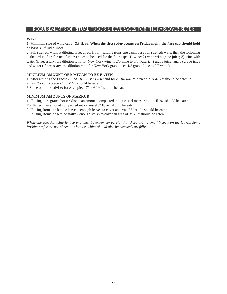## REQUIREMENTS OF RITUAL FOODS & BEVERAGES FOR THE PASSOVER SEDER

## **WINE**

1. Minimum size of wine cups - 3.3 fl. oz. **When the first seder occurs on Friday night, the first cup should hold at least 3.8 fluid ounces.**

2. Full strength without diluting is required. If for health reasons one cannot use full strength wine, then the following is the order of preference for beverages to be used for the four cups: 1) wine: 2) wine with grape juice; 3) wine with water (if necessary, the dilution ratio for New York wine is  $2/5$  wine to  $3/5$  water); 4) grape juice; and 5) grape juice and water (if necessary, the dilution ratio for New York grape juice 1/3 grape Juice to 2/3 water).

## **MINIMUM AMOUNT OF MATZAH TO BE EATEN**

1. After reciting the Bracha *AL ACHILAS MATZAH* and for *AFIKOMEN*, a piece 7" x 4-1/2"should be eaten. \*

2. For *Korech* a piece 7" x 2-1/2" should be eaten.

\* Some opinions advise: for #1, a piece 7" x 6 1/4" should be eaten.

## **MINIMUM AMOUNTS OF MARROR**

1. If using pure grated horseradish – an amount compacted into a vessel measuring 1.1 fl. oz. should be eaten.

For Korech, an amount compacted into a vessel .7 fl. oz. should be eaten.

2. If using Romaine lettuce leaves - enough leaves to cover an area of 8" x 10" should be eaten.

3. If using Romaine lettuce stalks - enough stalks to cover an area of 3" x 5" should be eaten.

*When one uses Romaine lettuce one must be extremely careful that there are no small insects on the leaves. Some Poskim prefer the use of regular lettuce, which should also be checked carefully.*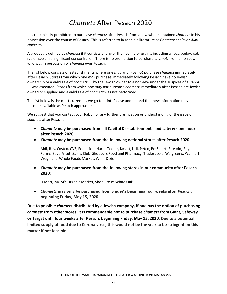## **Chametz After Pesach 2020**

It is rabbinically prohibited to purchase chametz after Pesach from a Jew who maintained chametz in his possession over the course of Pesach. This is referred to in rabbinic literature as Chametz She'avar Alav HaPesach.

A product is defined as *chametz* if it consists of any of the five major grains, including wheat, barley, oat, rye or spelt in a significant concentration. There is no prohibition to purchase *chametz* from a non-Jew who was in possession of chametz over Pesach.

The list below consists of establishments where one may and may not purchase chametz immediately after Pesach. Stores from which one may purchase immediately following Pesach have no Jewish ownership or a valid sale of *chametz* - by the Jewish owner to a non-Jew under the auspices of a Rabbi - was executed. Stores from which one *may not* purchase *chametz* immediately after Pesach are Jewish owned or supplied and a valid sale of chametz was not performed.

The list below is the most current as we go to print. Please understand that new information may become available as Pesach approaches.

We suggest that you contact your Rabbi for any further clarification or understanding of the issue of chametz after Pesach.

- Chametz may be purchased from all Capitol K establishments and caterers one hour after Pesach 2020.
- Chametz may be purchased from the following national stores after Pesach 2020:

Aldi, BJ's, Costco, CVS, Food Lion, Harris Teeter, Kmart, Lidl, Petco, PetSmart, Rite Aid, Royal Farms, Save-A-Lot, Sam's Club, Shoppers Food and Pharmacy, Trader Joe's, Walgreens, Walmart, Wegmans, Whole Foods Market, Winn-Dixie

• Chametz may be purchased from the following stores in our community after Pesach 2020:

H Mart, MOM's Organic Market, ShopRite of White Oak

• Chametz may only be purchased from Snider's beginning four weeks after Pesach, beginning Friday, May 15, 2020.

Due to possible chametz distributed by a Jewish company, if one has the option of purchasing chametz from other stores, it is commendable not to purchase chametz from Giant, Safeway or Target until four weeks after Pesach, beginning Friday, May 15, 2020. Due to a potential limited supply of food due to Corona-virus, this would not be the year to be stringent on this matter if not feasible.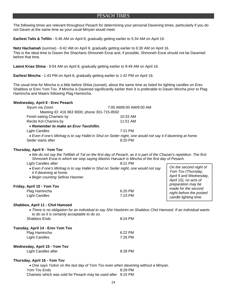## PESACH TIMES PESACH TIMES

The following times are relevant throughout Pesach for determining your personal Davening times, particularly if you do not Daven at the same time as your usual Minyan would meet.

**Earliest Talis & Tefilin** - 5:46 AM on April 8, gradually getting earlier to 5:34 AM on April 16.

**Netz Hachamah** (sunrise) - 6:42 AM on April 8, gradually getting earlier to 6:30 AM on April 16. This is the ideal time to Daven the Shacharis Shmoneh Esrai and, if possible, Shmoneh Esrai should not be Davened before that time.

**Latest Krias Shma** - 9:54 AM on April 8, gradually getting earlier to 9:49 AM on April 16.

**Earliest Mincha** - 1:43 PM on April 8, gradually getting earlier to 1:42 PM on April 16.

The usual time for Mincha is a little before Shkia (sunset), about the same time as listed for lighting candles on Erev Shabbos or Erev Yom Tov. If Mincha is Davened significantly earlier then it is preferable to Daven Mincha prior to Plag Hamincha and Maariv following Plag Hamincha.

## **Wednesday, April 8 - Erev Pesach**

| Siyum via Zoom                               | 7:00 AM/8:00 AM/9:00 AM                                                                                   |
|----------------------------------------------|-----------------------------------------------------------------------------------------------------------|
| Meeting ID: 416 963 9000, phone 301-715-8592 |                                                                                                           |
| Finish eating Chametz by                     | $10:33$ AM                                                                                                |
| Recite Kol Chamira by                        | $11:51$ AM                                                                                                |
| • Remember to make an Eruv Tavshillin.       |                                                                                                           |
| Light Candles                                | $7.21$ PM                                                                                                 |
|                                              | • Even if one's Minhag is to say Hallel in Shul on Seder night, one would not say it if davening at home. |
| Seder starts after                           | $8:20$ PM                                                                                                 |

## **Thursday, April 9 - Yom Tov**

- *We do not say the Tefillah of Tal on the first day of Pesach, as it is part of the Chazan's repetition. The first Shmoneh Esrai in which we stop saying Mashiv Haruach is Mincha of the first day of Pesach.*
- Light Candles after **8:21 PM**  *Even if one's Minhag is to say Hallel in Shul on Seder night, one would not say it if davening at home. Begin counting Sefiras Haomer.* **Friday, April 10 - Yom Tov**  Plag Hamincha 6:20 PM Light Candles 7:23 PM *On the second night of Yom Tov (Thursday, April 9 and Wednesday, April 15), no acts of preparation may be made for the second night before the posted candle lighting time.*

## **Shabbos, April 11 - Chol Hamoed**

 *There is no obligation for an individual to say Shir Hashirim on Shabbos Chol Hamoed. If an individual wants to do so it is certainly acceptable to do so.* 

| <b>Shabbos Ends</b>              | 8:24 PM |
|----------------------------------|---------|
| Tuesday, April 14 - Erev Yom Tov |         |
| Plag Hamincha                    | 6:22 PM |
| <b>Light Candles</b>             | 7:26 PM |
| Wednesday, April 15 - Yom Tov    |         |

| Light Candles after | 8:28 PM |
|---------------------|---------|
|                     |         |

## **Thursday, April 16 - Yom Tov**

 *One says Yizkor on the last day of Yom Tov even when davening without a Minyan.* Yom Tov Ends 8:29 PM Chametz which was sold for Pesach may be used after 9:15 PM